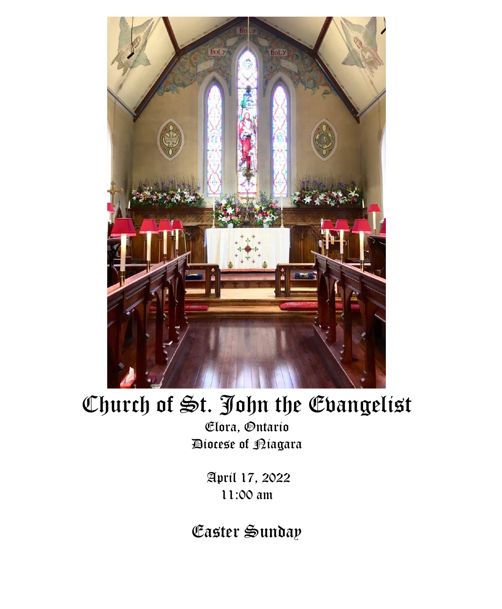

# Church of St. John the Evangelist

Elora, Ontario Diocese of Niagara

> April 17, 2022 11:00 am

Easter Sunday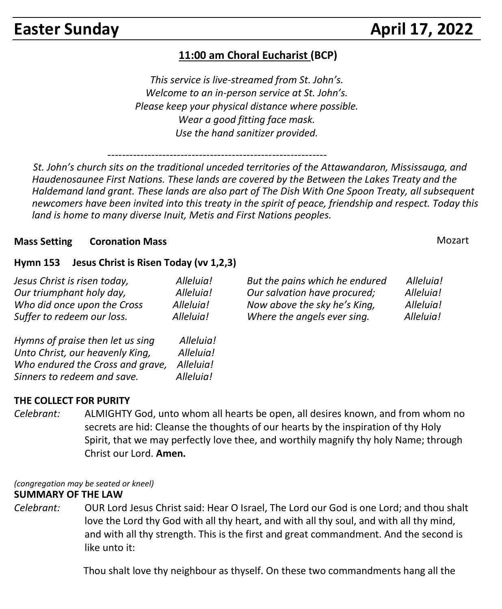# **11:00 am Choral Eucharist (BCP)**

*This service is live-streamed from St. John's. Welcome to an in-person service at St. John's. Please keep your physical distance where possible. Wear a good fitting face mask. Use the hand sanitizer provided.*

------------------------------------------------------------

 *St. John's church sits on the traditional unceded territories of the Attawandaron, Mississauga, and Haudenosaunee First Nations. These lands are covered by the Between the Lakes Treaty and the Haldemand land grant. These lands are also part of The Dish With One Spoon Treaty, all subsequent newcomers have been invited into this treaty in the spirit of peace, friendship and respect. Today this land is home to many diverse Inuit, Metis and First Nations peoples.* 

#### **Mass Setting Coronation Mass**  Mozart **Mass 3.1 (1998)** Mozart **Mass 3.1 (1998)** Mozart

#### **Hymn 153 Jesus Christ is Risen Today (vv 1,2,3)**

*Sinners to redeem and save. Alleluia!*

| Jesus Christ is risen today,     | Alleluia! | But the pains which he endured | Alleluia! |
|----------------------------------|-----------|--------------------------------|-----------|
| Our triumphant holy day,         | Alleluia! | Our salvation have procured;   | Alleluia! |
| Who did once upon the Cross      | Alleluia! | Now above the sky he's King,   | Alleluia! |
| Suffer to redeem our loss.       | Alleluia! | Where the angels ever sing.    | Alleluia! |
| Hymns of praise then let us sing | Alleluia! |                                |           |
| Unto Christ, our heavenly King,  | Alleluia! |                                |           |
| Who endured the Cross and grave, | Alleluia! |                                |           |

#### **THE COLLECT FOR PURITY**

*Celebrant:* ALMIGHTY God, unto whom all hearts be open, all desires known, and from whom no secrets are hid: Cleanse the thoughts of our hearts by the inspiration of thy Holy Spirit, that we may perfectly love thee, and worthily magnify thy holy Name; through Christ our Lord. **Amen.**

*(congregation may be seated or kneel)*

#### **SUMMARY OF THE LAW**

*Celebrant:* OUR Lord Jesus Christ said: Hear O Israel, The Lord our God is one Lord; and thou shalt love the Lord thy God with all thy heart, and with all thy soul, and with all thy mind, and with all thy strength. This is the first and great commandment. And the second is like unto it:

Thou shalt love thy neighbour as thyself. On these two commandments hang all the

**Easter Sunday**  April 17, 2022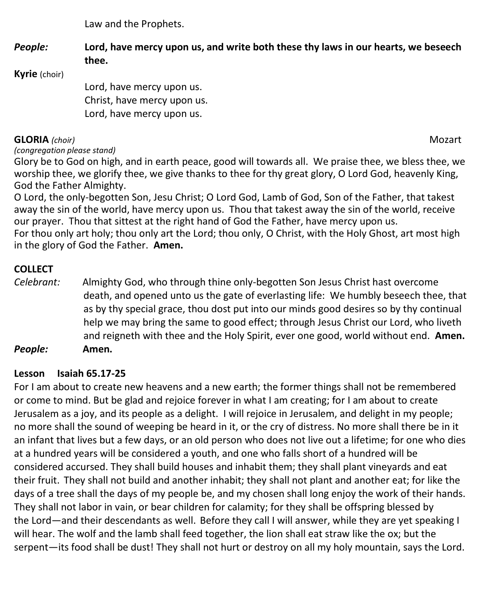Law and the Prophets.

*People:* **Lord, have mercy upon us, and write both these thy laws in our hearts, we beseech thee.**

**Kyrie** (choir)

Lord, have mercy upon us. Christ, have mercy upon us. Lord, have mercy upon us.

### **GLORIA** *(choir)* Mozart

*(congregation please stand)*

Glory be to God on high, and in earth peace, good will towards all. We praise thee, we bless thee, we worship thee, we glorify thee, we give thanks to thee for thy great glory, O Lord God, heavenly King, God the Father Almighty.

O Lord, the only-begotten Son, Jesu Christ; O Lord God, Lamb of God, Son of the Father, that takest away the sin of the world, have mercy upon us. Thou that takest away the sin of the world, receive our prayer. Thou that sittest at the right hand of God the Father, have mercy upon us. For thou only art holy; thou only art the Lord; thou only, O Christ, with the Holy Ghost, art most high in the glory of God the Father. **Amen.**

# **COLLECT**

*Celebrant:* Almighty God, who through thine only-begotten Son Jesus Christ hast overcome death, and opened unto us the gate of everlasting life: We humbly beseech thee, that as by thy special grace, thou dost put into our minds good desires so by thy continual help we may bring the same to good effect; through Jesus Christ our Lord, who liveth and reigneth with thee and the Holy Spirit, ever one good, world without end. **Amen.** *People:* **Amen.**

### **Lesson Isaiah 65.17-25**

For I am about to create new heavens and a new earth; the former things shall not be remembered or come to mind. But be glad and rejoice forever in what I am creating; for I am about to create Jerusalem as a joy, and its people as a delight. I will rejoice in Jerusalem, and delight in my people; no more shall the sound of weeping be heard in it, or the cry of distress. No more shall there be in it an infant that lives but a few days, or an old person who does not live out a lifetime; for one who dies at a hundred years will be considered a youth, and one who falls short of a hundred will be considered accursed. They shall build houses and inhabit them; they shall plant vineyards and eat their fruit. They shall not build and another inhabit; they shall not plant and another eat; for like the days of a tree shall the days of my people be, and my chosen shall long enjoy the work of their hands. They shall not labor in vain, or bear children for calamity; for they shall be offspring blessed by the Lord—and their descendants as well. Before they call I will answer, while they are yet speaking I will hear. The wolf and the lamb shall feed together, the lion shall eat straw like the ox; but the serpent—its food shall be dust! They shall not hurt or destroy on all my holy mountain, says the Lord.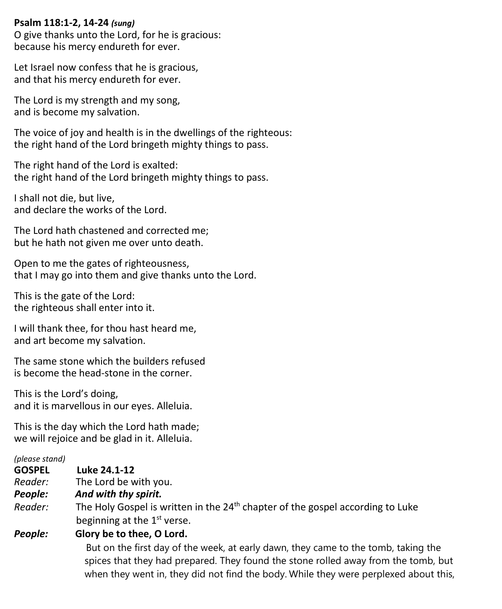#### **Psalm 118:1-2, 14-24** *(sung)*

O give thanks unto the Lord, for he is gracious: because his mercy endureth for ever.

Let Israel now confess that he is gracious, and that his mercy endureth for ever.

The Lord is my strength and my song, and is become my salvation.

The voice of joy and health is in the dwellings of the righteous: the right hand of the Lord bringeth mighty things to pass.

The right hand of the Lord is exalted: the right hand of the Lord bringeth mighty things to pass.

I shall not die, but live, and declare the works of the Lord.

The Lord hath chastened and corrected me; but he hath not given me over unto death.

Open to me the gates of righteousness, that I may go into them and give thanks unto the Lord.

This is the gate of the Lord: the righteous shall enter into it.

I will thank thee, for thou hast heard me, and art become my salvation.

The same stone which the builders refused is become the head-stone in the corner.

This is the Lord's doing, and it is marvellous in our eyes. Alleluia.

This is the day which the Lord hath made; we will rejoice and be glad in it. Alleluia.

#### *(please stand)*

- **GOSPEL Luke 24.1-12**
- *Reader:*The Lord be with you.
- *People: And with thy spirit.*
- *Reader:* The Holy Gospel is written in the 24<sup>th</sup> chapter of the gospel according to Luke beginning at the 1<sup>st</sup> verse.

#### *People:* **Glory be to thee, O Lord.**

 But on the first day of the week, at early dawn, they came to the tomb, taking the spices that they had prepared. They found the stone rolled away from the tomb, but when they went in, they did not find the body. While they were perplexed about this,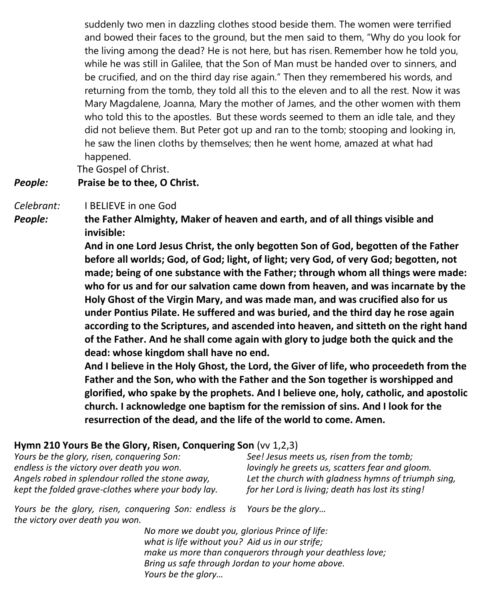suddenly two men in dazzling clothes stood beside them. The women were terrified and bowed their faces to the ground, but the men said to them, "Why do you look for the living among the dead? He is not here, but has risen. Remember how he told you, while he was still in Galilee, that the Son of Man must be handed over to sinners, and be crucified, and on the third day rise again." Then they remembered his words, and returning from the tomb, they told all this to the eleven and to all the rest. Now it was Mary Magdalene, Joanna, Mary the mother of James, and the other women with them who told this to the apostles. But these words seemed to them an idle tale, and they did not believe them. But Peter got up and ran to the tomb; stooping and looking in, he saw the linen cloths by themselves; then he went home, amazed at what had happened.

The Gospel of Christ.

#### *People:* **Praise be to thee, O Christ.**

*Celebrant:* I BELIEVE in one God

*People:* **the Father Almighty, Maker of heaven and earth, and of all things visible and invisible:**

> **And in one Lord Jesus Christ, the only begotten Son of God, begotten of the Father before all worlds; God, of God; light, of light; very God, of very God; begotten, not made; being of one substance with the Father; through whom all things were made: who for us and for our salvation came down from heaven, and was incarnate by the Holy Ghost of the Virgin Mary, and was made man, and was crucified also for us under Pontius Pilate. He suffered and was buried, and the third day he rose again according to the Scriptures, and ascended into heaven, and sitteth on the right hand of the Father. And he shall come again with glory to judge both the quick and the dead: whose kingdom shall have no end.**

> **And I believe in the Holy Ghost, the Lord, the Giver of life, who proceedeth from the Father and the Son, who with the Father and the Son together is worshipped and glorified, who spake by the prophets. And I believe one, holy, catholic, and apostolic church. I acknowledge one baptism for the remission of sins. And I look for the resurrection of the dead, and the life of the world to come. Amen.**

#### **Hymn 210 Yours Be the Glory, Risen, Conquering Son** (vv 1,2,3)

| Yours be the glory, risen, conquering Son:         | See! Jesus meets us, risen from the tomb;           |
|----------------------------------------------------|-----------------------------------------------------|
| endless is the victory over death you won.         | lovingly he greets us, scatters fear and gloom.     |
| Angels robed in splendour rolled the stone away,   | Let the church with gladness hymns of triumph sing, |
| kept the folded grave-clothes where your body lay. | for her Lord is living; death has lost its sting!   |

*Yours be the glory, risen, conquering Son: endless is Yours be the glory… the victory over death you won.*

> *No more we doubt you, glorious Prince of life: what is life without you? Aid us in our strife; make us more than conquerors through your deathless love; Bring us safe through Jordan to your home above. Yours be the glory…*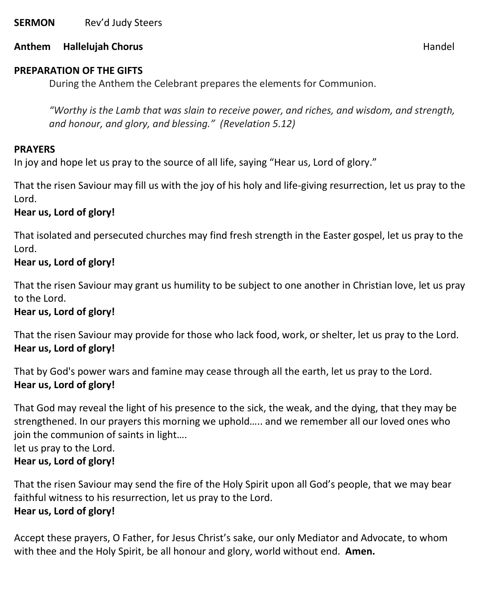**SERMON** Rev'd Judy Steers

#### **Anthem Hallelujah Chorus** Handel

#### **PREPARATION OF THE GIFTS**

During the Anthem the Celebrant prepares the elements for Communion.

*"Worthy is the Lamb that was slain to receive power, and riches, and wisdom, and strength, and honour, and glory, and blessing." (Revelation 5.12)*

#### **PRAYERS**

In joy and hope let us pray to the source of all life, saying "Hear us, Lord of glory."

That the risen Saviour may fill us with the joy of his holy and life-giving resurrection, let us pray to the Lord.

#### **Hear us, Lord of glory!**

That isolated and persecuted churches may find fresh strength in the Easter gospel, let us pray to the Lord.

#### **Hear us, Lord of glory!**

That the risen Saviour may grant us humility to be subject to one another in Christian love, let us pray to the Lord.

#### **Hear us, Lord of glory!**

That the risen Saviour may provide for those who lack food, work, or shelter, let us pray to the Lord. **Hear us, Lord of glory!**

That by God's power wars and famine may cease through all the earth, let us pray to the Lord. **Hear us, Lord of glory!**

That God may reveal the light of his presence to the sick, the weak, and the dying, that they may be strengthened. In our prayers this morning we uphold….. and we remember all our loved ones who join the communion of saints in light….

let us pray to the Lord.

### **Hear us, Lord of glory!**

That the risen Saviour may send the fire of the Holy Spirit upon all God's people, that we may bear faithful witness to his resurrection, let us pray to the Lord. **Hear us, Lord of glory!**

Accept these prayers, O Father, for Jesus Christ's sake, our only Mediator and Advocate, to whom with thee and the Holy Spirit, be all honour and glory, world without end. **Amen.**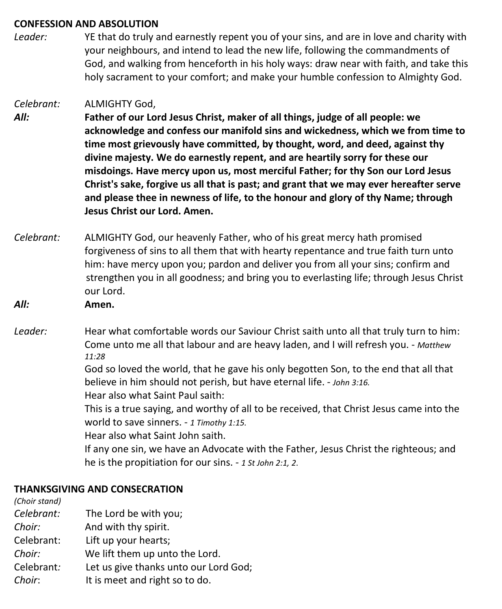#### **CONFESSION AND ABSOLUTION**

*Leader:* YE that do truly and earnestly repent you of your sins, and are in love and charity with your neighbours, and intend to lead the new life, following the commandments of God, and walking from henceforth in his holy ways: draw near with faith, and take this holy sacrament to your comfort; and make your humble confession to Almighty God.

#### *Celebrant:* ALMIGHTY God,

*All:* **Father of our Lord Jesus Christ, maker of all things, judge of all people: we acknowledge and confess our manifold sins and wickedness, which we from time to time most grievously have committed, by thought, word, and deed, against thy divine majesty. We do earnestly repent, and are heartily sorry for these our misdoings. Have mercy upon us, most merciful Father; for thy Son our Lord Jesus Christ's sake, forgive us all that is past; and grant that we may ever hereafter serve and please thee in newness of life, to the honour and glory of thy Name; through Jesus Christ our Lord. Amen.**

- *Celebrant:* ALMIGHTY God, our heavenly Father, who of his great mercy hath promised forgiveness of sins to all them that with hearty repentance and true faith turn unto him: have mercy upon you; pardon and deliver you from all your sins; confirm and strengthen you in all goodness; and bring you to everlasting life; through Jesus Christ our Lord.
- *All:* **Amen.**
- *Leader:* Hear what comfortable words our Saviour Christ saith unto all that truly turn to him: Come unto me all that labour and are heavy laden, and I will refresh you. - *Matthew 11:28*

God so loved the world, that he gave his only begotten Son, to the end that all that believe in him should not perish, but have eternal life. - *John 3:16.*

Hear also what Saint Paul saith:

This is a true saying, and worthy of all to be received, that Christ Jesus came into the world to save sinners. - *1 Timothy 1:15.*

Hear also what Saint John saith.

If any one sin, we have an Advocate with the Father, Jesus Christ the righteous; and he is the propitiation for our sins. - *1 St John 2:1, 2*.

#### **THANKSGIVING AND CONSECRATION**

| (Choir stand) |                                       |
|---------------|---------------------------------------|
| Celebrant:    | The Lord be with you;                 |
| Choir:        | And with thy spirit.                  |
| Celebrant:    | Lift up your hearts;                  |
| Choir:        | We lift them up unto the Lord.        |
| Celebrant:    | Let us give thanks unto our Lord God; |
| Choir:        | It is meet and right so to do.        |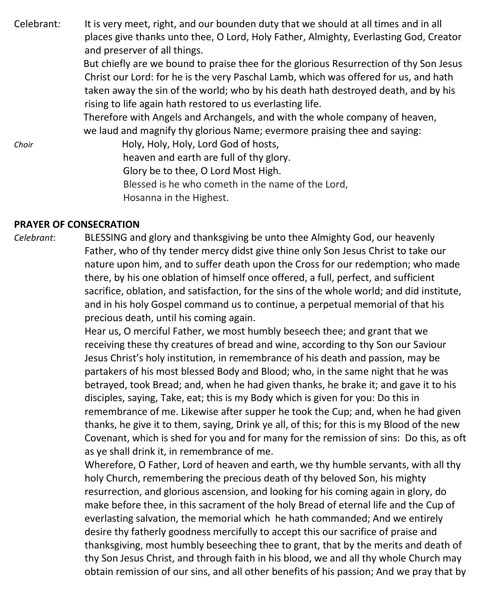Celebrant*:* It is very meet, right, and our bounden duty that we should at all times and in all places give thanks unto thee, O Lord, Holy Father, Almighty, Everlasting God, Creator and preserver of all things.

> But chiefly are we bound to praise thee for the glorious Resurrection of thy Son Jesus Christ our Lord: for he is the very Paschal Lamb, which was offered for us, and hath taken away the sin of the world; who by his death hath destroyed death, and by his rising to life again hath restored to us everlasting life.

 Therefore with Angels and Archangels, and with the whole company of heaven, we laud and magnify thy glorious Name; evermore praising thee and saying:

*Choir* **Holy, Holy, Holy, Lord God of hosts,**  heaven and earth are full of thy glory. Glory be to thee, O Lord Most High. Blessed is he who cometh in the name of the Lord, Hosanna in the Highest.

#### **PRAYER OF CONSECRATION**

*Celebrant*: BLESSING and glory and thanksgiving be unto thee Almighty God, our heavenly Father, who of thy tender mercy didst give thine only Son Jesus Christ to take our nature upon him, and to suffer death upon the Cross for our redemption; who made there, by his one oblation of himself once offered, a full, perfect, and sufficient sacrifice, oblation, and satisfaction, for the sins of the whole world; and did institute, and in his holy Gospel command us to continue, a perpetual memorial of that his precious death, until his coming again.

> Hear us, O merciful Father, we most humbly beseech thee; and grant that we receiving these thy creatures of bread and wine, according to thy Son our Saviour Jesus Christ's holy institution, in remembrance of his death and passion, may be partakers of his most blessed Body and Blood; who, in the same night that he was betrayed, took Bread; and, when he had given thanks, he brake it; and gave it to his disciples, saying, Take, eat; this is my Body which is given for you: Do this in remembrance of me. Likewise after supper he took the Cup; and, when he had given thanks, he give it to them, saying, Drink ye all, of this; for this is my Blood of the new Covenant, which is shed for you and for many for the remission of sins: Do this, as oft as ye shall drink it, in remembrance of me.

> Wherefore, O Father, Lord of heaven and earth, we thy humble servants, with all thy holy Church, remembering the precious death of thy beloved Son, his mighty resurrection, and glorious ascension, and looking for his coming again in glory, do make before thee, in this sacrament of the holy Bread of eternal life and the Cup of everlasting salvation, the memorial which he hath commanded; And we entirely desire thy fatherly goodness mercifully to accept this our sacrifice of praise and thanksgiving, most humbly beseeching thee to grant, that by the merits and death of thy Son Jesus Christ, and through faith in his blood, we and all thy whole Church may obtain remission of our sins, and all other benefits of his passion; And we pray that by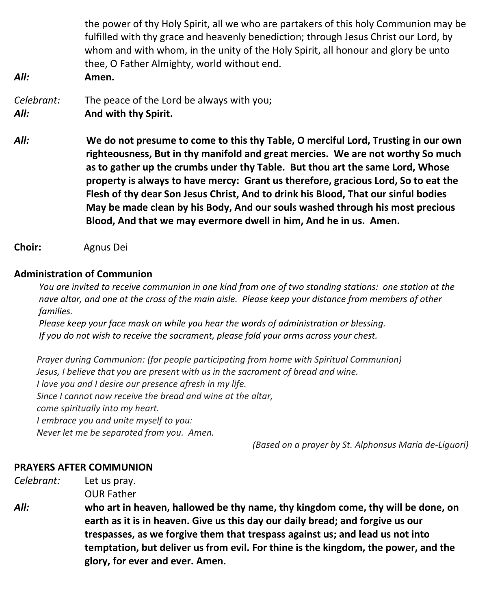| All:               | the power of thy Holy Spirit, all we who are partakers of this holy Communion may be<br>fulfilled with thy grace and heavenly benediction; through Jesus Christ our Lord, by<br>whom and with whom, in the unity of the Holy Spirit, all honour and glory be unto<br>thee, O Father Almighty, world without end.<br>Amen.                                                                                                                                                                                                                                                               |
|--------------------|-----------------------------------------------------------------------------------------------------------------------------------------------------------------------------------------------------------------------------------------------------------------------------------------------------------------------------------------------------------------------------------------------------------------------------------------------------------------------------------------------------------------------------------------------------------------------------------------|
| Celebrant:<br>All: | The peace of the Lord be always with you;<br>And with thy Spirit.                                                                                                                                                                                                                                                                                                                                                                                                                                                                                                                       |
| All:               | We do not presume to come to this thy Table, O merciful Lord, Trusting in our own<br>righteousness, But in thy manifold and great mercies. We are not worthy So much<br>as to gather up the crumbs under thy Table. But thou art the same Lord, Whose<br>property is always to have mercy: Grant us therefore, gracious Lord, So to eat the<br>Flesh of thy dear Son Jesus Christ, And to drink his Blood, That our sinful bodies<br>May be made clean by his Body, And our souls washed through his most precious<br>Blood, And that we may evermore dwell in him, And he in us. Amen. |

**Choir:** Agnus Dei

#### **Administration of Communion**

You are invited to receive communion in one kind from one of two standing stations: one station at the nave altar, and one at the cross of the main aisle. Please keep your distance from members of other  *families.*

 *Please keep your face mask on while you hear the words of administration or blessing. If you do not wish to receive the sacrament, please fold your arms across your chest.*

 *Prayer during Communion: (for people participating from home with Spiritual Communion) Jesus, I believe that you are present with us in the sacrament of bread and wine. I love you and I desire our presence afresh in my life. Since I cannot now receive the bread and wine at the altar, come spiritually into my heart. I embrace you and unite myself to you: Never let me be separated from you. Amen.*

*(Based on a prayer by St. Alphonsus Maria de-Liguori)*

#### **PRAYERS AFTER COMMUNION**

*Celebrant:* Let us pray.

OUR Father

*All:* **who art in heaven, hallowed be thy name, thy kingdom come, thy will be done, on earth as it is in heaven. Give us this day our daily bread; and forgive us our trespasses, as we forgive them that trespass against us; and lead us not into temptation, but deliver us from evil. For thine is the kingdom, the power, and the glory, for ever and ever. Amen.**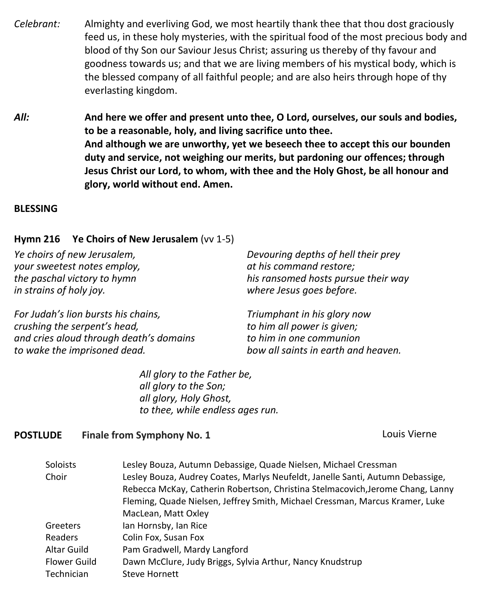- *Celebrant:* Almighty and everliving God, we most heartily thank thee that thou dost graciously feed us, in these holy mysteries, with the spiritual food of the most precious body and blood of thy Son our Saviour Jesus Christ; assuring us thereby of thy favour and goodness towards us; and that we are living members of his mystical body, which is the blessed company of all faithful people; and are also heirs through hope of thy everlasting kingdom.
- *All:* **And here we offer and present unto thee, O Lord, ourselves, our souls and bodies, to be a reasonable, holy, and living sacrifice unto thee. And although we are unworthy, yet we beseech thee to accept this our bounden duty and service, not weighing our merits, but pardoning our offences; through Jesus Christ our Lord, to whom, with thee and the Holy Ghost, be all honour and glory, world without end. Amen.**

#### **BLESSING**

#### **Hymn 216 Ye Choirs of New Jerusalem** (vv 1-5)

| Ye choirs of new Jerusalem,             | Devouring depths of hell their prey |
|-----------------------------------------|-------------------------------------|
| your sweetest notes employ,             | at his command restore;             |
| the paschal victory to hymn             | his ransomed hosts pursue their way |
| in strains of holy joy.                 | where Jesus goes before.            |
| For Judah's lion bursts his chains,     | Triumphant in his glory now         |
| crushing the serpent's head,            | to him all power is given;          |
| and cries aloud through death's domains | to him in one communion             |
| to wake the imprisoned dead.            | bow all saints in earth and heaven. |

*All glory to the Father be, all glory to the Son; all glory, Holy Ghost, to thee, while endless ages run.*

# **POSTLUDE** Finale from Symphony No. 1 Louis Vierne

| Soloists     | Lesley Bouza, Autumn Debassige, Quade Nielsen, Michael Cressman                |
|--------------|--------------------------------------------------------------------------------|
| Choir        | Lesley Bouza, Audrey Coates, Marlys Neufeldt, Janelle Santi, Autumn Debassige, |
|              | Rebecca McKay, Catherin Robertson, Christina Stelmacovich, Jerome Chang, Lanny |
|              | Fleming, Quade Nielsen, Jeffrey Smith, Michael Cressman, Marcus Kramer, Luke   |
|              | MacLean, Matt Oxley                                                            |
| Greeters     | Ian Hornsby, Ian Rice                                                          |
| Readers      | Colin Fox, Susan Fox                                                           |
| Altar Guild  | Pam Gradwell, Mardy Langford                                                   |
| Flower Guild | Dawn McClure, Judy Briggs, Sylvia Arthur, Nancy Knudstrup                      |
| Technician   | Steve Hornett                                                                  |
|              |                                                                                |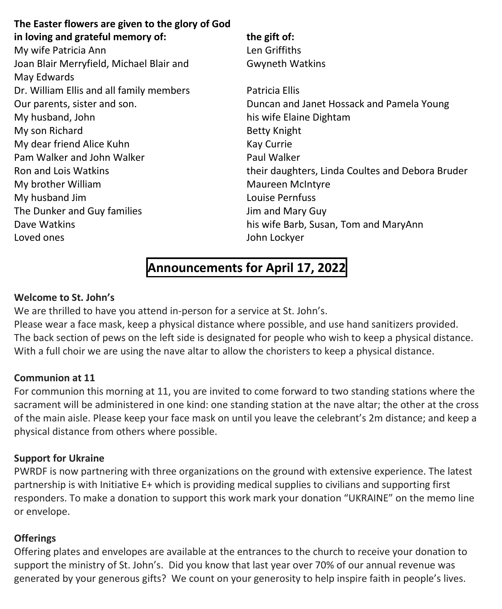| The Easter flowers are given to the glory of God |                                                  |
|--------------------------------------------------|--------------------------------------------------|
| in loving and grateful memory of:                | the gift of:                                     |
| My wife Patricia Ann                             | Len Griffiths                                    |
| Joan Blair Merryfield, Michael Blair and         | <b>Gwyneth Watkins</b>                           |
| May Edwards                                      |                                                  |
| Dr. William Ellis and all family members         | Patricia Ellis                                   |
| Our parents, sister and son.                     | Duncan and Janet Hossack and Pamela Young        |
| My husband, John                                 | his wife Elaine Dightam                          |
| My son Richard                                   | <b>Betty Knight</b>                              |
| My dear friend Alice Kuhn                        | Kay Currie                                       |
| Pam Walker and John Walker                       | Paul Walker                                      |
| Ron and Lois Watkins                             | their daughters, Linda Coultes and Debora Bruder |
| My brother William                               | <b>Maureen McIntyre</b>                          |
| My husband Jim                                   | Louise Pernfuss                                  |
| The Dunker and Guy families                      | Jim and Mary Guy                                 |
| Dave Watkins                                     | his wife Barb, Susan, Tom and MaryAnn            |
| Loved ones                                       | John Lockyer                                     |
|                                                  |                                                  |

# **Announcements for April 17, 2022**

#### **Welcome to St. John's**

We are thrilled to have you attend in-person for a service at St. John's. Please wear a face mask, keep a physical distance where possible, and use hand sanitizers provided. The back section of pews on the left side is designated for people who wish to keep a physical distance. With a full choir we are using the nave altar to allow the choristers to keep a physical distance.

### **Communion at 11**

For communion this morning at 11, you are invited to come forward to two standing stations where the sacrament will be administered in one kind: one standing station at the nave altar; the other at the cross of the main aisle. Please keep your face mask on until you leave the celebrant's 2m distance; and keep a physical distance from others where possible.

#### **Support for Ukraine**

PWRDF is now partnering with three organizations on the ground with extensive experience. The latest partnership is with Initiative E+ which is providing medical supplies to civilians and supporting first responders. To make a donation to support this work mark your donation "UKRAINE" on the memo line or envelope.

### **Offerings**

Offering plates and envelopes are available at the entrances to the church to receive your donation to support the ministry of St. John's. Did you know that last year over 70% of our annual revenue was generated by your generous gifts? We count on your generosity to help inspire faith in people's lives.